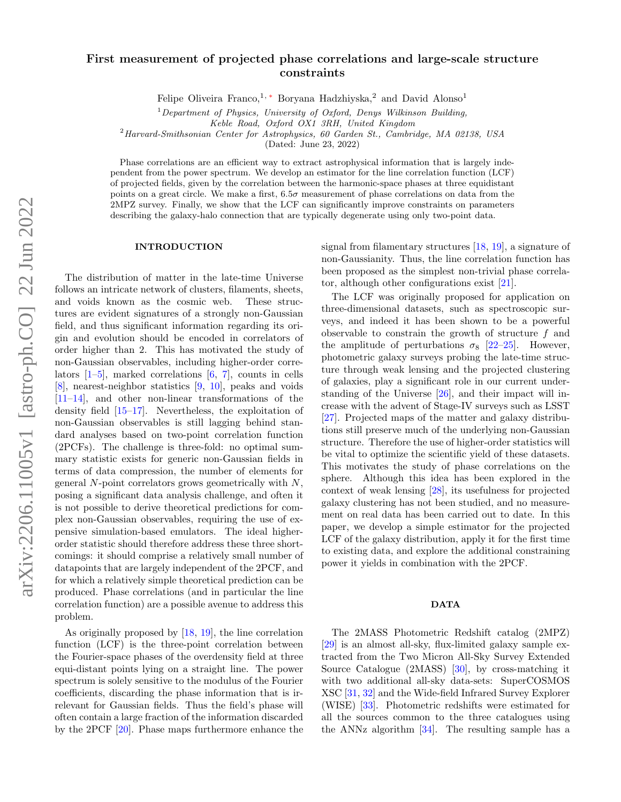# First measurement of projected phase correlations and large-scale structure constraints

Felipe Oliveira Franco,<sup>1,\*</sup> Boryana Hadzhiyska,<sup>2</sup> and David Alonso<sup>1</sup>

 $1$  Department of Physics, University of Oxford, Denys Wilkinson Building,

Keble Road, Oxford OX1 3RH, United Kingdom

 $^{2}$ Harvard-Smithsonian Center for Astrophysics, 60 Garden St., Cambridge, MA 02138, USA

(Dated: June 23, 2022)

Phase correlations are an efficient way to extract astrophysical information that is largely independent from the power spectrum. We develop an estimator for the line correlation function (LCF) of projected fields, given by the correlation between the harmonic-space phases at three equidistant points on a great circle. We make a first, 6.5σ measurement of phase correlations on data from the 2MPZ survey. Finally, we show that the LCF can significantly improve constraints on parameters describing the galaxy-halo connection that are typically degenerate using only two-point data.

#### INTRODUCTION

The distribution of matter in the late-time Universe follows an intricate network of clusters, filaments, sheets, and voids known as the cosmic web. These structures are evident signatures of a strongly non-Gaussian field, and thus significant information regarding its origin and evolution should be encoded in correlators of order higher than 2. This has motivated the study of non-Gaussian observables, including higher-order correlators  $[1–5]$  $[1–5]$ , marked correlations  $[6, 7]$  $[6, 7]$  $[6, 7]$ , counts in cells [\[8\]](#page-5-5), nearest-neighbor statistics [\[9,](#page-5-6) [10\]](#page-5-7), peaks and voids [\[11–](#page-5-8)[14\]](#page-5-9), and other non-linear transformations of the density field [\[15](#page-5-10)[–17\]](#page-5-11). Nevertheless, the exploitation of non-Gaussian observables is still lagging behind standard analyses based on two-point correlation function (2PCFs). The challenge is three-fold: no optimal summary statistic exists for generic non-Gaussian fields in terms of data compression, the number of elements for general  $N$ -point correlators grows geometrically with  $N$ , posing a significant data analysis challenge, and often it is not possible to derive theoretical predictions for complex non-Gaussian observables, requiring the use of expensive simulation-based emulators. The ideal higherorder statistic should therefore address these three shortcomings: it should comprise a relatively small number of datapoints that are largely independent of the 2PCF, and for which a relatively simple theoretical prediction can be produced. Phase correlations (and in particular the line correlation function) are a possible avenue to address this problem.

As originally proposed by [\[18,](#page-5-12) [19\]](#page-5-13), the line correlation function (LCF) is the three-point correlation between the Fourier-space phases of the overdensity field at three equi-distant points lying on a straight line. The power spectrum is solely sensitive to the modulus of the Fourier coefficients, discarding the phase information that is irrelevant for Gaussian fields. Thus the field's phase will often contain a large fraction of the information discarded by the 2PCF [\[20\]](#page-5-14). Phase maps furthermore enhance the signal from filamentary structures [\[18,](#page-5-12) [19\]](#page-5-13), a signature of non-Gaussianity. Thus, the line correlation function has been proposed as the simplest non-trivial phase correlator, although other configurations exist [\[21\]](#page-5-15).

The LCF was originally proposed for application on three-dimensional datasets, such as spectroscopic surveys, and indeed it has been shown to be a powerful observable to constrain the growth of structure  $f$  and the amplitude of perturbations  $\sigma_8$  [\[22](#page-5-16)[–25\]](#page-5-17). However, photometric galaxy surveys probing the late-time structure through weak lensing and the projected clustering of galaxies, play a significant role in our current understanding of the Universe [\[26\]](#page-5-18), and their impact will increase with the advent of Stage-IV surveys such as LSST [\[27\]](#page-5-19). Projected maps of the matter and galaxy distributions still preserve much of the underlying non-Gaussian structure. Therefore the use of higher-order statistics will be vital to optimize the scientific yield of these datasets. This motivates the study of phase correlations on the sphere. Although this idea has been explored in the context of weak lensing [\[28\]](#page-5-20), its usefulness for projected galaxy clustering has not been studied, and no measurement on real data has been carried out to date. In this paper, we develop a simple estimator for the projected LCF of the galaxy distribution, apply it for the first time to existing data, and explore the additional constraining power it yields in combination with the 2PCF.

### DATA

The 2MASS Photometric Redshift catalog (2MPZ) [\[29\]](#page-5-21) is an almost all-sky, flux-limited galaxy sample extracted from the Two Micron All-Sky Survey Extended Source Catalogue (2MASS) [\[30\]](#page-5-22), by cross-matching it with two additional all-sky data-sets: SuperCOSMOS XSC [\[31,](#page-5-23) [32\]](#page-5-24) and the Wide-field Infrared Survey Explorer (WISE) [\[33\]](#page-5-25). Photometric redshifts were estimated for all the sources common to the three catalogues using the ANNz algorithm [\[34\]](#page-5-26). The resulting sample has a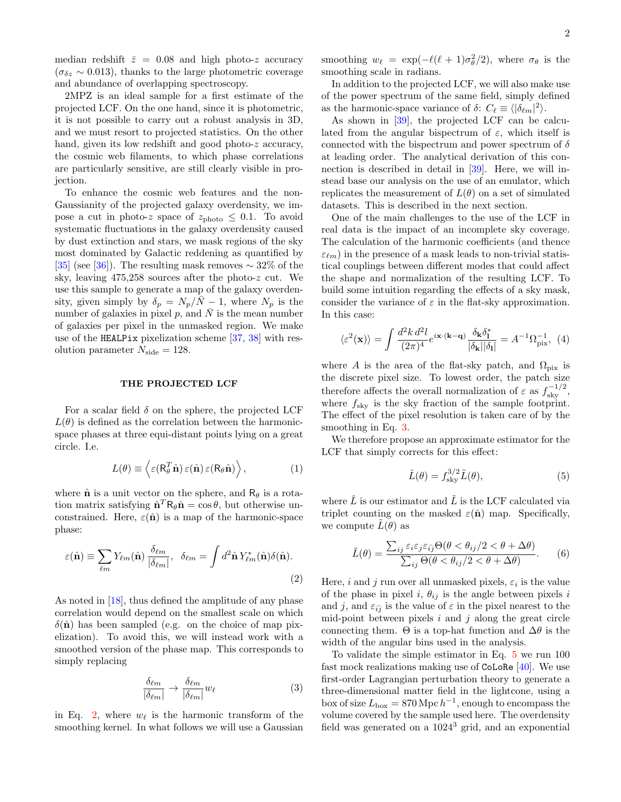median redshift  $\bar{z} = 0.08$  and high photo-z accuracy  $(\sigma_{\delta z} \sim 0.013)$ , thanks to the large photometric coverage and abundance of overlapping spectroscopy.

2MPZ is an ideal sample for a first estimate of the projected LCF. On the one hand, since it is photometric, it is not possible to carry out a robust analysis in 3D, and we must resort to projected statistics. On the other hand, given its low redshift and good photo-z accuracy, the cosmic web filaments, to which phase correlations are particularly sensitive, are still clearly visible in projection.

To enhance the cosmic web features and the non-Gaussianity of the projected galaxy overdensity, we impose a cut in photo-z space of  $z_{\text{photo}} \leq 0.1$ . To avoid systematic fluctuations in the galaxy overdensity caused by dust extinction and stars, we mask regions of the sky most dominated by Galactic reddening as quantified by [\[35\]](#page-5-27) (see [\[36\]](#page-5-28)). The resulting mask removes  $\sim$  32% of the sky, leaving 475,258 sources after the photo-z cut. We use this sample to generate a map of the galaxy overdensity, given simply by  $\delta_p = N_p/N - 1$ , where  $N_p$  is the number of galaxies in pixel p, and  $\overline{N}$  is the mean number of galaxies per pixel in the unmasked region. We make use of the HEALPix pixelization scheme [\[37,](#page-6-0) [38\]](#page-6-1) with resolution parameter  $N_{\text{side}} = 128$ .

## THE PROJECTED LCF

For a scalar field  $\delta$  on the sphere, the projected LCF  $L(\theta)$  is defined as the correlation between the harmonicspace phases at three equi-distant points lying on a great circle. I.e.

$$
L(\theta) \equiv \left\langle \varepsilon (\mathbf{R}_{\theta}^T \hat{\mathbf{n}}) \varepsilon (\hat{\mathbf{n}}) \varepsilon (\mathbf{R}_{\theta} \hat{\mathbf{n}}) \right\rangle, \tag{1}
$$

where  $\hat{\mathbf{n}}$  is a unit vector on the sphere, and  $R_{\theta}$  is a rotation matrix satisfying  $\hat{\mathbf{n}}^T \mathbf{R}_{\theta} \hat{\mathbf{n}} = \cos \theta$ , but otherwise unconstrained. Here,  $\varepsilon(\hat{\mathbf{n}})$  is a map of the harmonic-space phase:

$$
\varepsilon(\hat{\mathbf{n}}) \equiv \sum_{\ell m} Y_{\ell m}(\hat{\mathbf{n}}) \frac{\delta_{\ell m}}{|\delta_{\ell m}|}, \quad \delta_{\ell m} = \int d^2 \hat{\mathbf{n}} Y_{\ell m}^*(\hat{\mathbf{n}}) \delta(\hat{\mathbf{n}}).
$$
\n(2)

As noted in [\[18\]](#page-5-12), thus defined the amplitude of any phase correlation would depend on the smallest scale on which  $\delta(\hat{\mathbf{n}})$  has been sampled (e.g. on the choice of map pixelization). To avoid this, we will instead work with a smoothed version of the phase map. This corresponds to simply replacing

<span id="page-1-1"></span>
$$
\frac{\delta_{\ell m}}{|\delta_{\ell m}|} \to \frac{\delta_{\ell m}}{|\delta_{\ell m}|} w_{\ell} \tag{3}
$$

in Eq. [2,](#page-1-0) where  $w_{\ell}$  is the harmonic transform of the smoothing kernel. In what follows we will use a Gaussian

smoothing  $w_{\ell} = \exp(-\ell(\ell + 1)\sigma_{\theta}^2/2)$ , where  $\sigma_{\theta}$  is the smoothing scale in radians.

In addition to the projected LCF, we will also make use of the power spectrum of the same field, simply defined as the harmonic-space variance of  $\delta$ :  $C_{\ell} \equiv \langle |\delta_{\ell m}|^2 \rangle$ .

As shown in [\[39\]](#page-6-2), the projected LCF can be calculated from the angular bispectrum of  $\varepsilon$ , which itself is connected with the bispectrum and power spectrum of  $\delta$ at leading order. The analytical derivation of this connection is described in detail in [\[39\]](#page-6-2). Here, we will instead base our analysis on the use of an emulator, which replicates the measurement of  $L(\theta)$  on a set of simulated datasets. This is described in the next section.

One of the main challenges to the use of the LCF in real data is the impact of an incomplete sky coverage. The calculation of the harmonic coefficients (and thence  $\varepsilon_{\ell m}$ ) in the presence of a mask leads to non-trivial statistical couplings between different modes that could affect the shape and normalization of the resulting LCF. To build some intuition regarding the effects of a sky mask, consider the variance of  $\varepsilon$  in the flat-sky approximation. In this case:

$$
\langle \varepsilon^2(\mathbf{x}) \rangle = \int \frac{d^2 k \, d^2 l}{(2\pi)^4} e^{i\mathbf{x} \cdot (\mathbf{k} - \mathbf{q})} \frac{\delta_\mathbf{k} \delta_\mathbf{l}^*}{|\delta_\mathbf{k}| |\delta_\mathbf{l}|} = A^{-1} \Omega_{\text{pix}}^{-1}, \tag{4}
$$

where A is the area of the flat-sky patch, and  $\Omega_{\text{pix}}$  is the discrete pixel size. To lowest order, the patch size therefore affects the overall normalization of  $\varepsilon$  as  $f_{\text{sky}}^{-1/2}$ , where  $f_{\text{sky}}$  is the sky fraction of the sample footprint. The effect of the pixel resolution is taken care of by the smoothing in Eq. [3.](#page-1-1)

We therefore propose an approximate estimator for the LCF that simply corrects for this effect:

<span id="page-1-2"></span>
$$
\hat{L}(\theta) = f_{\rm sky}^{3/2} \tilde{L}(\theta),\tag{5}
$$

where  $\hat{L}$  is our estimator and  $\tilde{L}$  is the LCF calculated via triplet counting on the masked  $\varepsilon(\hat{\mathbf{n}})$  map. Specifically, we compute  $\hat{L}(\theta)$  as

$$
\tilde{L}(\theta) = \frac{\sum_{ij} \varepsilon_i \varepsilon_j \varepsilon_{\bar{i}\bar{j}} \Theta(\theta < \theta_{ij}/2 < \theta + \Delta\theta)}{\sum_{ij} \Theta(\theta < \theta_{ij}/2 < \theta + \Delta\theta)}.\tag{6}
$$

<span id="page-1-0"></span>Here, *i* and *j* run over all unmasked pixels,  $\varepsilon_i$  is the value of the phase in pixel i,  $\theta_{ij}$  is the angle between pixels i and j, and  $\varepsilon_{i\bar{j}}$  is the value of  $\varepsilon$  in the pixel nearest to the mid-point between pixels  $i$  and  $j$  along the great circle connecting them.  $\Theta$  is a top-hat function and  $\Delta\theta$  is the width of the angular bins used in the analysis.

To validate the simple estimator in Eq. [5](#page-1-2) we run 100 fast mock realizations making use of CoLoRe [\[40\]](#page-6-3). We use first-order Lagrangian perturbation theory to generate a three-dimensional matter field in the lightcone, using a box of size  $L_{\text{box}} = 870 \text{ Mpc} \, h^{-1}$ , enough to encompass the volume covered by the sample used here. The overdensity field was generated on a 1024<sup>3</sup> grid, and an exponential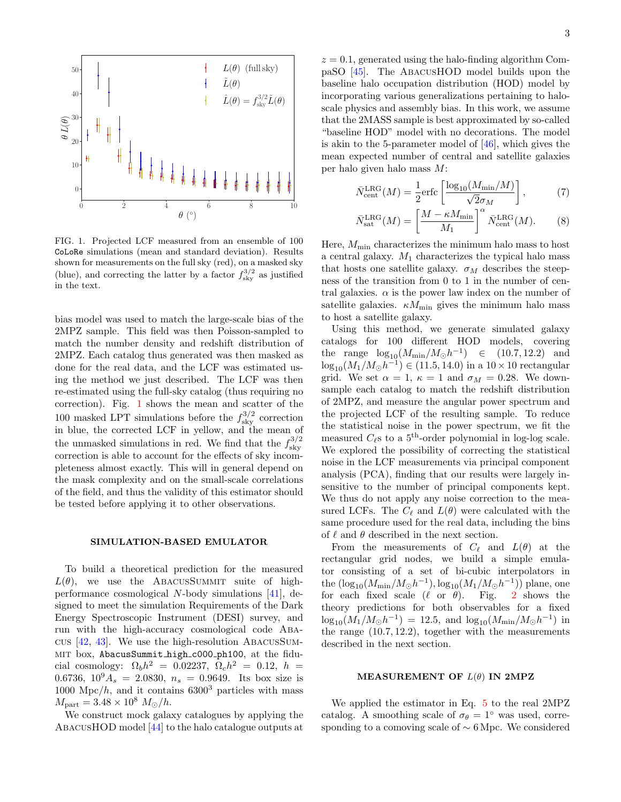

<span id="page-2-0"></span>FIG. 1. Projected LCF measured from an ensemble of 100 CoLoRe simulations (mean and standard deviation). Results shown for measurements on the full sky (red), on a masked sky (blue), and correcting the latter by a factor  $f_{\rm sky}^{3/2}$  as justified in the text.

bias model was used to match the large-scale bias of the 2MPZ sample. This field was then Poisson-sampled to match the number density and redshift distribution of 2MPZ. Each catalog thus generated was then masked as done for the real data, and the LCF was estimated using the method we just described. The LCF was then re-estimated using the full-sky catalog (thus requiring no correction). Fig. [1](#page-2-0) shows the mean and scatter of the 100 masked LPT simulations before the  $f_{\rm sky}^{3/2}$  correction in blue, the corrected LCF in yellow, and the mean of the unmasked simulations in red. We find that the  $f_{\rm sky}^{3/2}$ sky correction is able to account for the effects of sky incompleteness almost exactly. This will in general depend on the mask complexity and on the small-scale correlations of the field, and thus the validity of this estimator should be tested before applying it to other observations.

#### SIMULATION-BASED EMULATOR

To build a theoretical prediction for the measured  $L(\theta)$ , we use the ABACUSSUMMIT suite of highperformance cosmological N-body simulations [\[41\]](#page-6-4), designed to meet the simulation Requirements of the Dark Energy Spectroscopic Instrument (DESI) survey, and run with the high-accuracy cosmological code Abacus [\[42,](#page-6-5) [43\]](#page-6-6). We use the high-resolution AbacusSummit box, AbacusSummit high c000 ph100, at the fiducial cosmology:  $\Omega_b h^2 = 0.02237, \ \Omega_c h^2 = 0.12, \ h =$ 0.6736,  $10^9 A_s = 2.0830$ ,  $n_s = 0.9649$ . Its box size is 1000 Mpc/h, and it contains  $6300^3$  particles with mass  $M_{\rm part} = 3.48 \times 10^8 \ M_{\odot}/h.$ 

We construct mock galaxy catalogues by applying the AbacusHOD model [\[44\]](#page-6-7) to the halo catalogue outputs at

 $z = 0.1$ , generated using the halo-finding algorithm CompaSO [\[45\]](#page-6-8). The AbacusHOD model builds upon the baseline halo occupation distribution (HOD) model by incorporating various generalizations pertaining to haloscale physics and assembly bias. In this work, we assume that the 2MASS sample is best approximated by so-called "baseline HOD" model with no decorations. The model is akin to the 5-parameter model of [\[46\]](#page-6-9), which gives the mean expected number of central and satellite galaxies per halo given halo mass M:

$$
\bar{N}_{\text{cent}}^{\text{LRG}}(M) = \frac{1}{2} \text{erfc}\left[\frac{\log_{10}(M_{\text{min}}/M)}{\sqrt{2}\sigma_M}\right],\tag{7}
$$

$$
\bar{N}_{\text{sat}}^{\text{LRG}}(M) = \left[\frac{M - \kappa M_{\text{min}}}{M_1}\right]^{\alpha} \bar{N}_{\text{cent}}^{\text{LRG}}(M). \tag{8}
$$

Here,  $M_{\text{min}}$  characterizes the minimum halo mass to host a central galaxy.  $M_1$  characterizes the typical halo mass that hosts one satellite galaxy.  $\sigma_M$  describes the steepness of the transition from 0 to 1 in the number of central galaxies.  $\alpha$  is the power law index on the number of satellite galaxies.  $\kappa M_{\text{min}}$  gives the minimum halo mass to host a satellite galaxy.

Using this method, we generate simulated galaxy catalogs for 100 different HOD models, covering the range  $\log_{10}(M_{\rm min}/M_{\odot}h^{-1})$   $\in$  (10.7, 12.2) and  $\log_{10}(M_1/M_{\odot}h^{-1}) \in (11.5, 14.0)$  in a  $10 \times 10$  rectangular grid. We set  $\alpha = 1$ ,  $\kappa = 1$  and  $\sigma_M = 0.28$ . We downsample each catalog to match the redshift distribution of 2MPZ, and measure the angular power spectrum and the projected LCF of the resulting sample. To reduce the statistical noise in the power spectrum, we fit the measured  $C_{\ell}$ s to a 5<sup>th</sup>-order polynomial in log-log scale. We explored the possibility of correcting the statistical noise in the LCF measurements via principal component analysis (PCA), finding that our results were largely insensitive to the number of principal components kept. We thus do not apply any noise correction to the measured LCFs. The  $C_{\ell}$  and  $L(\theta)$  were calculated with the same procedure used for the real data, including the bins of  $\ell$  and  $\theta$  described in the next section.

From the measurements of  $C_{\ell}$  and  $L(\theta)$  at the rectangular grid nodes, we build a simple emulator consisting of a set of bi-cubic interpolators in the  $(\log_{10}(M_{\rm min}/M_{\odot}h^{-1}), \log_{10}(M_1/M_{\odot}h^{-1}))$  plane, one for each fixed scale  $(\ell \text{ or } \theta)$ . Fig. [2](#page-3-0) shows the theory predictions for both observables for a fixed  $\log_{10}(M_1/M_{\odot}h^{-1}) = 12.5$ , and  $\log_{10}(M_{\rm min}/M_{\odot}h^{-1})$  in the range (10.7, 12.2), together with the measurements described in the next section.

#### MEASUREMENT OF  $L(\theta)$  IN 2MPZ

We applied the estimator in Eq. [5](#page-1-2) to the real 2MPZ catalog. A smoothing scale of  $\sigma_{\theta} = 1^{\circ}$  was used, corresponding to a comoving scale of ∼ 6 Mpc. We considered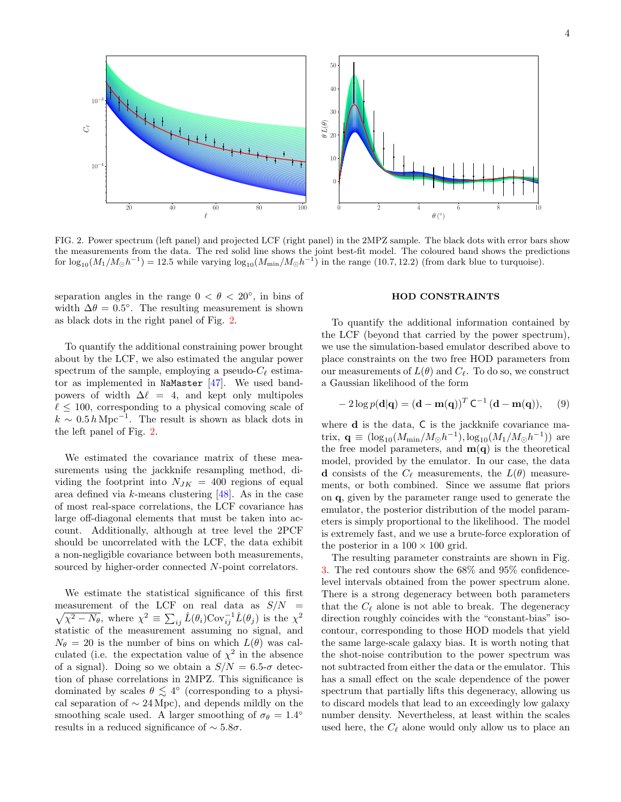

<span id="page-3-0"></span>FIG. 2. Power spectrum (left panel) and projected LCF (right panel) in the 2MPZ sample. The black dots with error bars show the measurements from the data. The red solid line shows the joint best-fit model. The coloured band shows the predictions for  $\log_{10}(M_1/M_{\odot}h^{-1}) = 12.5$  while varying  $\log_{10}(M_{\rm min}/M_{\odot}h^{-1})$  in the range (10.7, 12.2) (from dark blue to turquoise).

separation angles in the range  $0 < \theta < 20^{\circ}$ , in bins of width  $\Delta\theta = 0.5^{\circ}$ . The resulting measurement is shown as black dots in the right panel of Fig. [2.](#page-3-0)

To quantify the additional constraining power brought about by the LCF, we also estimated the angular power spectrum of the sample, employing a pseudo- $C_{\ell}$  estimator as implemented in NaMaster  $[47]$ . We used bandpowers of width  $\Delta \ell = 4$ , and kept only multipoles  $\ell \leq 100$ , corresponding to a physical comoving scale of  $k \sim 0.5 h \text{ Mpc}^{-1}$ . The result is shown as black dots in the left panel of Fig. [2.](#page-3-0)

We estimated the covariance matrix of these measurements using the jackknife resampling method, dividing the footprint into  $N_{JK} = 400$  regions of equal area defined via  $k$ -means clustering  $[48]$ . As in the case of most real-space correlations, the LCF covariance has large off-diagonal elements that must be taken into account. Additionally, although at tree level the 2PCF should be uncorrelated with the LCF, the data exhibit a non-negligible covariance between both measurements, sourced by higher-order connected N-point correlators.

We estimate the statistical significance of this first measurement of the LCF on real data as  $S/N =$  $\sqrt{\chi^2 - N_{\theta}}$ , where  $\chi^2 \equiv \sum_{ij} \hat{L}(\theta_i) \text{Cov}_{ij}^{-1} \hat{L}(\theta_j)$  is the  $\chi^2$ statistic of the measurement assuming no signal, and  $N_{\theta} = 20$  is the number of bins on which  $L(\theta)$  was calculated (i.e. the expectation value of  $\chi^2$  in the absence of a signal). Doing so we obtain a  $S/N = 6.5$ - $\sigma$  detection of phase correlations in 2MPZ. This significance is dominated by scales  $\theta \lesssim 4^{\circ}$  (corresponding to a physical separation of  $\sim$  24 Mpc), and depends mildly on the smoothing scale used. A larger smoothing of  $\sigma_{\theta} = 1.4^{\circ}$ results in a reduced significance of ∼ 5.8σ.

## HOD CONSTRAINTS

To quantify the additional information contained by the LCF (beyond that carried by the power spectrum), we use the simulation-based emulator described above to place constraints on the two free HOD parameters from our measurements of  $L(\theta)$  and  $C_{\ell}$ . To do so, we construct a Gaussian likelihood of the form

$$
-2\log p(\mathbf{d}|\mathbf{q}) = (\mathbf{d} - \mathbf{m}(\mathbf{q}))^T \mathbf{C}^{-1} (\mathbf{d} - \mathbf{m}(\mathbf{q})), \quad (9)
$$

where **d** is the data, **C** is the jackknife covariance matrix,  $\mathbf{q} \equiv (\log_{10}(M_{\rm min}/M_{\odot}h^{-1}), \log_{10}(M_1/M_{\odot}h^{-1}))$  are the free model parameters, and  $m(q)$  is the theoretical model, provided by the emulator. In our case, the data d consists of the  $C_{\ell}$  measurements, the  $L(\theta)$  measurements, or both combined. Since we assume flat priors on q, given by the parameter range used to generate the emulator, the posterior distribution of the model parameters is simply proportional to the likelihood. The model is extremely fast, and we use a brute-force exploration of the posterior in a  $100 \times 100$  grid.

The resulting parameter constraints are shown in Fig. [3.](#page-4-0) The red contours show the 68% and 95% confidencelevel intervals obtained from the power spectrum alone. There is a strong degeneracy between both parameters that the  $C_{\ell}$  alone is not able to break. The degeneracy direction roughly coincides with the "constant-bias" isocontour, corresponding to those HOD models that yield the same large-scale galaxy bias. It is worth noting that the shot-noise contribution to the power spectrum was not subtracted from either the data or the emulator. This has a small effect on the scale dependence of the power spectrum that partially lifts this degeneracy, allowing us to discard models that lead to an exceedingly low galaxy number density. Nevertheless, at least within the scales used here, the  $C_{\ell}$  alone would only allow us to place an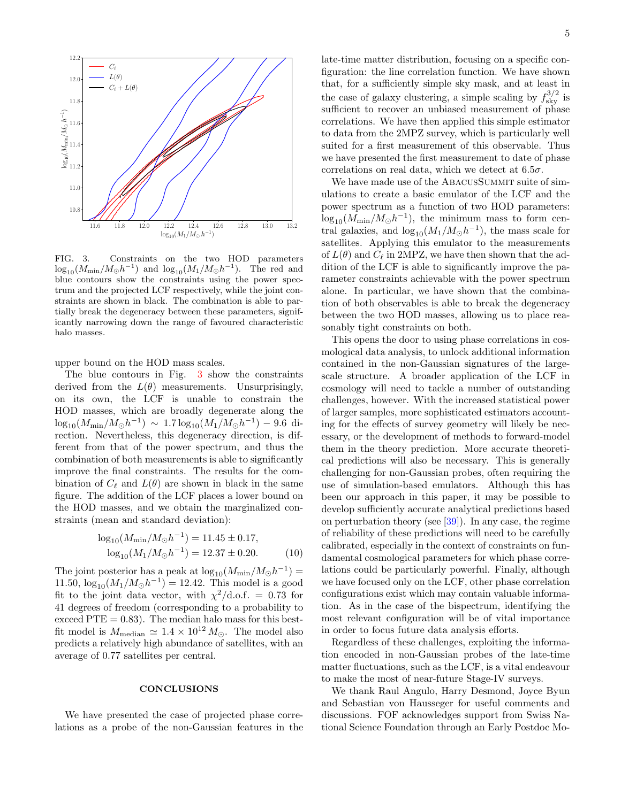

<span id="page-4-0"></span>FIG. 3. Constraints on the two HOD parameters  $\log_{10}(M_{\rm min}/M_{\odot}h^{-1})$  and  $\log_{10}(M_1/M_{\odot}h^{-1})$ . The red and blue contours show the constraints using the power spectrum and the projected LCF respectively, while the joint constraints are shown in black. The combination is able to partially break the degeneracy between these parameters, significantly narrowing down the range of favoured characteristic halo masses.

upper bound on the HOD mass scales.

The blue contours in Fig. [3](#page-4-0) show the constraints derived from the  $L(\theta)$  measurements. Unsurprisingly, on its own, the LCF is unable to constrain the HOD masses, which are broadly degenerate along the  $\log_{10}(M_{\rm min}/M_{\odot}h^{-1}) \sim 1.7 \log_{10}(M_1/M_{\odot}h^{-1}) - 9.6$  direction. Nevertheless, this degeneracy direction, is different from that of the power spectrum, and thus the combination of both measurements is able to significantly improve the final constraints. The results for the combination of  $C_{\ell}$  and  $L(\theta)$  are shown in black in the same figure. The addition of the LCF places a lower bound on the HOD masses, and we obtain the marginalized constraints (mean and standard deviation):

$$
\log_{10}(M_{\text{min}}/M_{\odot}h^{-1}) = 11.45 \pm 0.17,
$$
  

$$
\log_{10}(M_1/M_{\odot}h^{-1}) = 12.37 \pm 0.20.
$$
 (10)

The joint posterior has a peak at  $\log_{10}(M_{\rm min}/M_{\odot}h^{-1}) =$ 11.50,  $\log_{10}(M_1/M_{\odot}h^{-1}) = 12.42$ . This model is a good fit to the joint data vector, with  $\chi^2/\text{d.o.f.} = 0.73$  for 41 degrees of freedom (corresponding to a probability to exceed  $PTE = 0.83$ . The median halo mass for this bestfit model is  $M_{\text{median}} \simeq 1.4 \times 10^{12} M_{\odot}$ . The model also predicts a relatively high abundance of satellites, with an average of 0.77 satellites per central.

#### **CONCLUSIONS**

We have presented the case of projected phase correlations as a probe of the non-Gaussian features in the late-time matter distribution, focusing on a specific configuration: the line correlation function. We have shown that, for a sufficiently simple sky mask, and at least in the case of galaxy clustering, a simple scaling by  $f_{\rm sky}^{3/2}$  is sufficient to recover an unbiased measurement of phase correlations. We have then applied this simple estimator to data from the 2MPZ survey, which is particularly well suited for a first measurement of this observable. Thus we have presented the first measurement to date of phase correlations on real data, which we detect at  $6.5\sigma$ .

We have made use of the ABACUSSUMMIT suite of simulations to create a basic emulator of the LCF and the power spectrum as a function of two HOD parameters:  $\log_{10}(M_{\rm min}/M_{\odot}h^{-1}),$  the minimum mass to form central galaxies, and  $\log_{10}(M_1/M_\odot h^{-1})$ , the mass scale for satellites. Applying this emulator to the measurements of  $L(\theta)$  and  $C_{\ell}$  in 2MPZ, we have then shown that the addition of the LCF is able to significantly improve the parameter constraints achievable with the power spectrum alone. In particular, we have shown that the combination of both observables is able to break the degeneracy between the two HOD masses, allowing us to place reasonably tight constraints on both.

This opens the door to using phase correlations in cosmological data analysis, to unlock additional information contained in the non-Gaussian signatures of the largescale structure. A broader application of the LCF in cosmology will need to tackle a number of outstanding challenges, however. With the increased statistical power of larger samples, more sophisticated estimators accounting for the effects of survey geometry will likely be necessary, or the development of methods to forward-model them in the theory prediction. More accurate theoretical predictions will also be necessary. This is generally challenging for non-Gaussian probes, often requiring the use of simulation-based emulators. Although this has been our approach in this paper, it may be possible to develop sufficiently accurate analytical predictions based on perturbation theory (see [\[39\]](#page-6-2)). In any case, the regime of reliability of these predictions will need to be carefully calibrated, especially in the context of constraints on fundamental cosmological parameters for which phase correlations could be particularly powerful. Finally, although we have focused only on the LCF, other phase correlation configurations exist which may contain valuable information. As in the case of the bispectrum, identifying the most relevant configuration will be of vital importance in order to focus future data analysis efforts.

Regardless of these challenges, exploiting the information encoded in non-Gaussian probes of the late-time matter fluctuations, such as the LCF, is a vital endeavour to make the most of near-future Stage-IV surveys.

We thank Raul Angulo, Harry Desmond, Joyce Byun and Sebastian von Hausseger for useful comments and discussions. FOF acknowledges support from Swiss National Science Foundation through an Early Postdoc Mo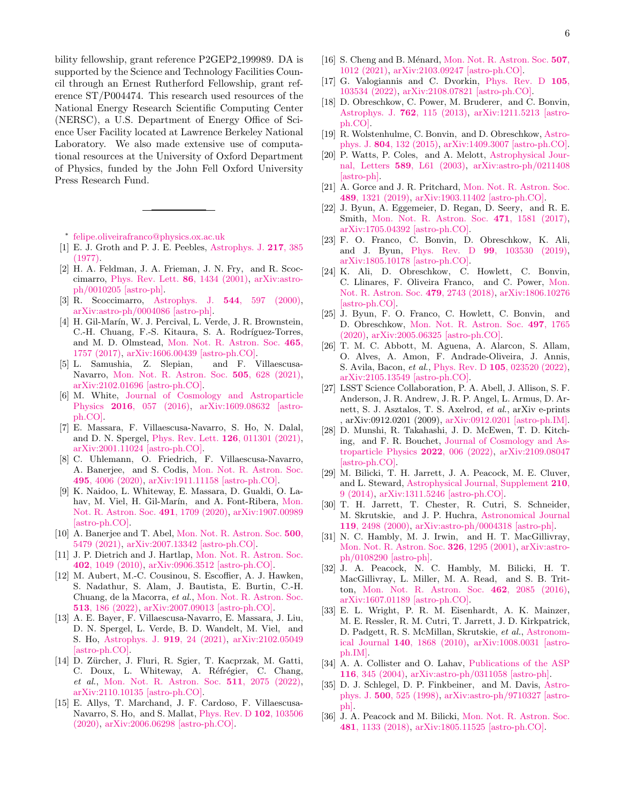bility fellowship, grant reference P2GEP2 199989. DA is supported by the Science and Technology Facilities Council through an Ernest Rutherford Fellowship, grant reference ST/P004474. This research used resources of the National Energy Research Scientific Computing Center (NERSC), a U.S. Department of Energy Office of Science User Facility located at Lawrence Berkeley National Laboratory. We also made extensive use of computational resources at the University of Oxford Department of Physics, funded by the John Fell Oxford University Press Research Fund.

- <span id="page-5-0"></span>∗ [felipe.oliveirafranco@physics.ox.ac.uk](mailto:felipe.oliveirafranco@physics.ox.ac.uk)
- <span id="page-5-1"></span>[1] E. J. Groth and P. J. E. Peebles, [Astrophys. J.](http://dx.doi.org/10.1086/155588) 217, 385 [\(1977\).](http://dx.doi.org/10.1086/155588)
- [2] H. A. Feldman, J. A. Frieman, J. N. Fry, and R. Scoccimarro, [Phys. Rev. Lett.](http://dx.doi.org/10.1103/PhysRevLett.86.1434) 86, 1434 (2001), [arXiv:astro](http://arxiv.org/abs/astro-ph/0010205)[ph/0010205 \[astro-ph\].](http://arxiv.org/abs/astro-ph/0010205)
- [3] R. Scoccimarro, Astrophys. J. 544[, 597 \(2000\),](http://dx.doi.org/10.1086/317248) [arXiv:astro-ph/0004086 \[astro-ph\].](http://arxiv.org/abs/astro-ph/0004086)
- [4] H. Gil-Marín, W. J. Percival, L. Verde, J. R. Brownstein, C.-H. Chuang, F.-S. Kitaura, S. A. Rodríguez-Torres, and M. D. Olmstead, [Mon. Not. R. Astron. Soc.](http://dx.doi.org/10.1093/mnras/stw2679) 465, [1757 \(2017\),](http://dx.doi.org/10.1093/mnras/stw2679) [arXiv:1606.00439 \[astro-ph.CO\].](http://arxiv.org/abs/1606.00439)
- <span id="page-5-2"></span>[5] L. Samushia, Z. Slepian, and F. Villaescusa-Navarro, [Mon. Not. R. Astron. Soc.](http://dx.doi.org/10.1093/mnras/stab1199) 505, 628 (2021), [arXiv:2102.01696 \[astro-ph.CO\].](http://arxiv.org/abs/2102.01696)
- <span id="page-5-3"></span>[6] M. White, [Journal of Cosmology and Astroparticle](http://dx.doi.org/10.1088/1475-7516/2016/11/057) Physics 2016[, 057 \(2016\),](http://dx.doi.org/10.1088/1475-7516/2016/11/057) [arXiv:1609.08632 \[astro](http://arxiv.org/abs/1609.08632)[ph.CO\].](http://arxiv.org/abs/1609.08632)
- <span id="page-5-4"></span>[7] E. Massara, F. Villaescusa-Navarro, S. Ho, N. Dalal, and D. N. Spergel, [Phys. Rev. Lett.](http://dx.doi.org/10.1103/PhysRevLett.126.011301) 126, 011301 (2021), [arXiv:2001.11024 \[astro-ph.CO\].](http://arxiv.org/abs/2001.11024)
- <span id="page-5-5"></span>[8] C. Uhlemann, O. Friedrich, F. Villaescusa-Navarro, A. Banerjee, and S. Codis, [Mon. Not. R. Astron. Soc.](http://dx.doi.org/10.1093/mnras/staa1155) 495[, 4006 \(2020\),](http://dx.doi.org/10.1093/mnras/staa1155) [arXiv:1911.11158 \[astro-ph.CO\].](http://arxiv.org/abs/1911.11158)
- <span id="page-5-6"></span>[9] K. Naidoo, L. Whiteway, E. Massara, D. Gualdi, O. La-hav, M. Viel, H. Gil-Marín, and A. Font-Ribera, [Mon.](http://dx.doi.org/ 10.1093/mnras/stz3075) [Not. R. Astron. Soc.](http://dx.doi.org/ 10.1093/mnras/stz3075) 491, 1709 (2020), [arXiv:1907.00989](http://arxiv.org/abs/1907.00989) [\[astro-ph.CO\].](http://arxiv.org/abs/1907.00989)
- <span id="page-5-7"></span>[10] A. Banerjee and T. Abel, [Mon. Not. R. Astron. Soc.](http://dx.doi.org/10.1093/mnras/staa3604) 500, [5479 \(2021\),](http://dx.doi.org/10.1093/mnras/staa3604) [arXiv:2007.13342 \[astro-ph.CO\].](http://arxiv.org/abs/2007.13342)
- <span id="page-5-8"></span>[11] J. P. Dietrich and J. Hartlap, [Mon. Not. R. Astron. Soc.](http://dx.doi.org/10.1111/j.1365-2966.2009.15948.x) 402[, 1049 \(2010\),](http://dx.doi.org/10.1111/j.1365-2966.2009.15948.x) [arXiv:0906.3512 \[astro-ph.CO\].](http://arxiv.org/abs/0906.3512)
- [12] M. Aubert, M.-C. Cousinou, S. Escoffier, A. J. Hawken, S. Nadathur, S. Alam, J. Bautista, E. Burtin, C.-H. Chuang, de la Macorra, et al., [Mon. Not. R. Astron. Soc.](http://dx.doi.org/ 10.1093/mnras/stac828) 513[, 186 \(2022\),](http://dx.doi.org/ 10.1093/mnras/stac828) [arXiv:2007.09013 \[astro-ph.CO\].](http://arxiv.org/abs/2007.09013)
- [13] A. E. Bayer, F. Villaescusa-Navarro, E. Massara, J. Liu, D. N. Spergel, L. Verde, B. D. Wandelt, M. Viel, and S. Ho, [Astrophys. J.](http://dx.doi.org/ 10.3847/1538-4357/ac0e91) 919, 24 (2021), [arXiv:2102.05049](http://arxiv.org/abs/2102.05049) [\[astro-ph.CO\].](http://arxiv.org/abs/2102.05049)
- <span id="page-5-9"></span>[14] D. Zürcher, J. Fluri, R. Sgier, T. Kacprzak, M. Gatti, C. Doux, L. Whiteway, A. Réfrégier, C. Chang, et al., [Mon. Not. R. Astron. Soc.](http://dx.doi.org/ 10.1093/mnras/stac078) 511, 2075 (2022), [arXiv:2110.10135 \[astro-ph.CO\].](http://arxiv.org/abs/2110.10135)
- <span id="page-5-10"></span>[15] E. Allys, T. Marchand, J. F. Cardoso, F. Villaescusa-Navarro, S. Ho, and S. Mallat, [Phys. Rev. D](http://dx.doi.org/ 10.1103/PhysRevD.102.103506) 102, 103506 [\(2020\),](http://dx.doi.org/ 10.1103/PhysRevD.102.103506) [arXiv:2006.06298 \[astro-ph.CO\].](http://arxiv.org/abs/2006.06298)
- [16] S. Cheng and B. Ménard, [Mon. Not. R. Astron. Soc.](http://dx.doi.org/10.1093/mnras/stab2102) 507, [1012 \(2021\),](http://dx.doi.org/10.1093/mnras/stab2102) [arXiv:2103.09247 \[astro-ph.CO\].](http://arxiv.org/abs/2103.09247)
- <span id="page-5-11"></span>[17] G. Valogiannis and C. Dvorkin, [Phys. Rev. D](http://dx.doi.org/10.1103/PhysRevD.105.103534) 105, [103534 \(2022\),](http://dx.doi.org/10.1103/PhysRevD.105.103534) [arXiv:2108.07821 \[astro-ph.CO\].](http://arxiv.org/abs/2108.07821)
- <span id="page-5-12"></span>[18] D. Obreschkow, C. Power, M. Bruderer, and C. Bonvin, [Astrophys. J.](http://dx.doi.org/10.1088/0004-637X/762/2/115) 762, 115 (2013), [arXiv:1211.5213 \[astro](http://arxiv.org/abs/1211.5213)[ph.CO\].](http://arxiv.org/abs/1211.5213)
- <span id="page-5-13"></span>[19] R. Wolstenhulme, C. Bonvin, and D. Obreschkow, [Astro](http://dx.doi.org/10.1088/0004-637X/804/2/132)phys. J. 804[, 132 \(2015\),](http://dx.doi.org/10.1088/0004-637X/804/2/132) [arXiv:1409.3007 \[astro-ph.CO\].](http://arxiv.org/abs/1409.3007)
- <span id="page-5-14"></span>[20] P. Watts, P. Coles, and A. Melott, [Astrophysical Jour](http://dx.doi.org/10.1086/376351)nal, Letters 589[, L61 \(2003\),](http://dx.doi.org/10.1086/376351) [arXiv:astro-ph/0211408](http://arxiv.org/abs/astro-ph/0211408) [\[astro-ph\].](http://arxiv.org/abs/astro-ph/0211408)
- <span id="page-5-15"></span>[21] A. Gorce and J. R. Pritchard, [Mon. Not. R. Astron. Soc.](http://dx.doi.org/10.1093/mnras/stz2195) 489[, 1321 \(2019\),](http://dx.doi.org/10.1093/mnras/stz2195) [arXiv:1903.11402 \[astro-ph.CO\].](http://arxiv.org/abs/1903.11402)
- <span id="page-5-16"></span>[22] J. Byun, A. Eggemeier, D. Regan, D. Seery, and R. E. Smith, [Mon. Not. R. Astron. Soc.](http://dx.doi.org/ 10.1093/mnras/stx1681) 471, 1581 (2017), [arXiv:1705.04392 \[astro-ph.CO\].](http://arxiv.org/abs/1705.04392)
- [23] F. O. Franco, C. Bonvin, D. Obreschkow, K. Ali, and J. Byun, Phys. Rev. D 99[, 103530 \(2019\),](http://dx.doi.org/ 10.1103/PhysRevD.99.103530) [arXiv:1805.10178 \[astro-ph.CO\].](http://arxiv.org/abs/1805.10178)
- [24] K. Ali, D. Obreschkow, C. Howlett, C. Bonvin, C. Llinares, F. Oliveira Franco, and C. Power, [Mon.](http://dx.doi.org/ 10.1093/mnras/sty1696) [Not. R. Astron. Soc.](http://dx.doi.org/ 10.1093/mnras/sty1696) 479, 2743 (2018), [arXiv:1806.10276](http://arxiv.org/abs/1806.10276) [\[astro-ph.CO\].](http://arxiv.org/abs/1806.10276)
- <span id="page-5-17"></span>[25] J. Byun, F. O. Franco, C. Howlett, C. Bonvin, and D. Obreschkow, [Mon. Not. R. Astron. Soc.](http://dx.doi.org/10.1093/mnras/staa2020) 497, 1765 [\(2020\),](http://dx.doi.org/10.1093/mnras/staa2020) [arXiv:2005.06325 \[astro-ph.CO\].](http://arxiv.org/abs/2005.06325)
- <span id="page-5-18"></span>[26] T. M. C. Abbott, M. Aguena, A. Alarcon, S. Allam, O. Alves, A. Amon, F. Andrade-Oliveira, J. Annis, S. Avila, Bacon, et al., Phys. Rev. D 105[, 023520 \(2022\),](http://dx.doi.org/10.1103/PhysRevD.105.023520) [arXiv:2105.13549 \[astro-ph.CO\].](http://arxiv.org/abs/2105.13549)
- <span id="page-5-19"></span>[27] LSST Science Collaboration, P. A. Abell, J. Allison, S. F. Anderson, J. R. Andrew, J. R. P. Angel, L. Armus, D. Arnett, S. J. Asztalos, T. S. Axelrod, et al., arXiv e-prints , arXiv:0912.0201 (2009), [arXiv:0912.0201 \[astro-ph.IM\].](http://arxiv.org/abs/0912.0201)
- <span id="page-5-20"></span>[28] D. Munshi, R. Takahashi, J. D. McEwen, T. D. Kitching, and F. R. Bouchet, [Journal of Cosmology and As](http://dx.doi.org/10.1088/1475-7516/2022/05/006)[troparticle Physics](http://dx.doi.org/10.1088/1475-7516/2022/05/006) 2022, 006 (2022), [arXiv:2109.08047](http://arxiv.org/abs/2109.08047) [\[astro-ph.CO\].](http://arxiv.org/abs/2109.08047)
- <span id="page-5-21"></span>[29] M. Bilicki, T. H. Jarrett, J. A. Peacock, M. E. Cluver, and L. Steward, [Astrophysical Journal, Supplement](http://dx.doi.org/10.1088/0067-0049/210/1/9) 210, [9 \(2014\),](http://dx.doi.org/10.1088/0067-0049/210/1/9) [arXiv:1311.5246 \[astro-ph.CO\].](http://arxiv.org/abs/1311.5246)
- <span id="page-5-22"></span>[30] T. H. Jarrett, T. Chester, R. Cutri, S. Schneider, M. Skrutskie, and J. P. Huchra, [Astronomical Journal](http://dx.doi.org/ 10.1086/301330) 119[, 2498 \(2000\),](http://dx.doi.org/ 10.1086/301330) [arXiv:astro-ph/0004318 \[astro-ph\].](http://arxiv.org/abs/astro-ph/0004318)
- <span id="page-5-23"></span>[31] N. C. Hambly, M. J. Irwin, and H. T. MacGillivray, [Mon. Not. R. Astron. Soc.](http://dx.doi.org/10.1111/j.1365-2966.2001.04661.x) 326, 1295 (2001), [arXiv:astro](http://arxiv.org/abs/astro-ph/0108290)[ph/0108290 \[astro-ph\].](http://arxiv.org/abs/astro-ph/0108290)
- <span id="page-5-24"></span>[32] J. A. Peacock, N. C. Hambly, M. Bilicki, H. T. MacGillivray, L. Miller, M. A. Read, and S. B. Tritton, [Mon. Not. R. Astron. Soc.](http://dx.doi.org/ 10.1093/mnras/stw1818) 462, 2085 (2016), [arXiv:1607.01189 \[astro-ph.CO\].](http://arxiv.org/abs/1607.01189)
- <span id="page-5-25"></span>[33] E. L. Wright, P. R. M. Eisenhardt, A. K. Mainzer, M. E. Ressler, R. M. Cutri, T. Jarrett, J. D. Kirkpatrick, D. Padgett, R. S. McMillan, Skrutskie, et al., [Astronom](http://dx.doi.org/ 10.1088/0004-6256/140/6/1868)ical Journal 140[, 1868 \(2010\),](http://dx.doi.org/ 10.1088/0004-6256/140/6/1868) [arXiv:1008.0031 \[astro](http://arxiv.org/abs/1008.0031)[ph.IM\].](http://arxiv.org/abs/1008.0031)
- <span id="page-5-26"></span>[34] A. A. Collister and O. Lahav, [Publications of the ASP](http://dx.doi.org/10.1086/383254) 116[, 345 \(2004\),](http://dx.doi.org/10.1086/383254) [arXiv:astro-ph/0311058 \[astro-ph\].](http://arxiv.org/abs/astro-ph/0311058)
- <span id="page-5-27"></span>[35] D. J. Schlegel, D. P. Finkbeiner, and M. Davis, [Astro](http://dx.doi.org/10.1086/305772)phys. J. 500[, 525 \(1998\),](http://dx.doi.org/10.1086/305772) [arXiv:astro-ph/9710327 \[astro](http://arxiv.org/abs/astro-ph/9710327)[ph\].](http://arxiv.org/abs/astro-ph/9710327)
- <span id="page-5-28"></span>[36] J. A. Peacock and M. Bilicki, [Mon. Not. R. Astron. Soc.](http://dx.doi.org/10.1093/mnras/sty2314) 481[, 1133 \(2018\),](http://dx.doi.org/10.1093/mnras/sty2314) [arXiv:1805.11525 \[astro-ph.CO\].](http://arxiv.org/abs/1805.11525)